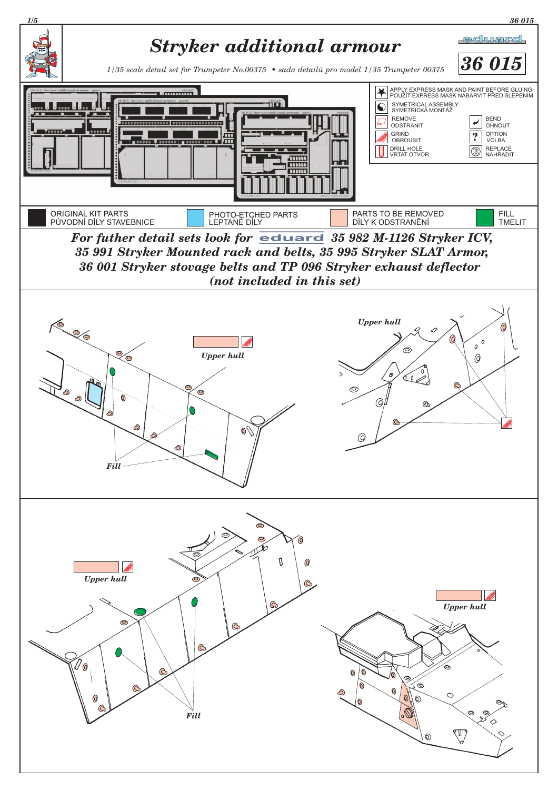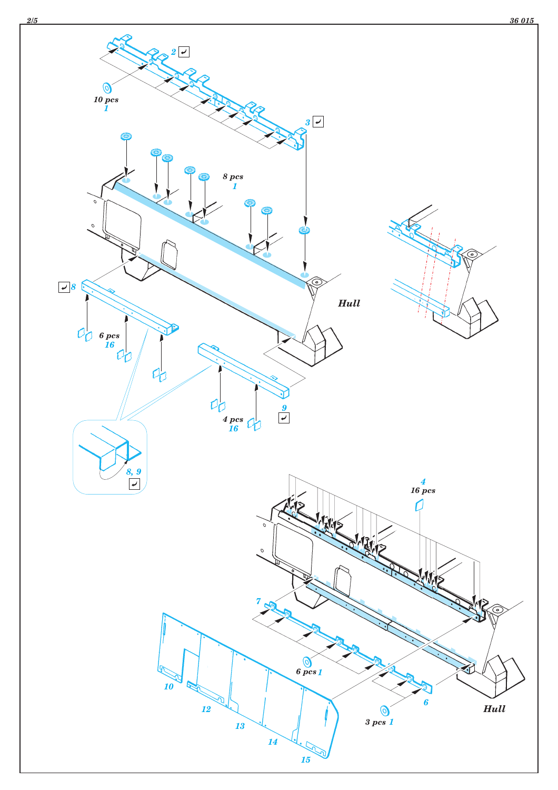

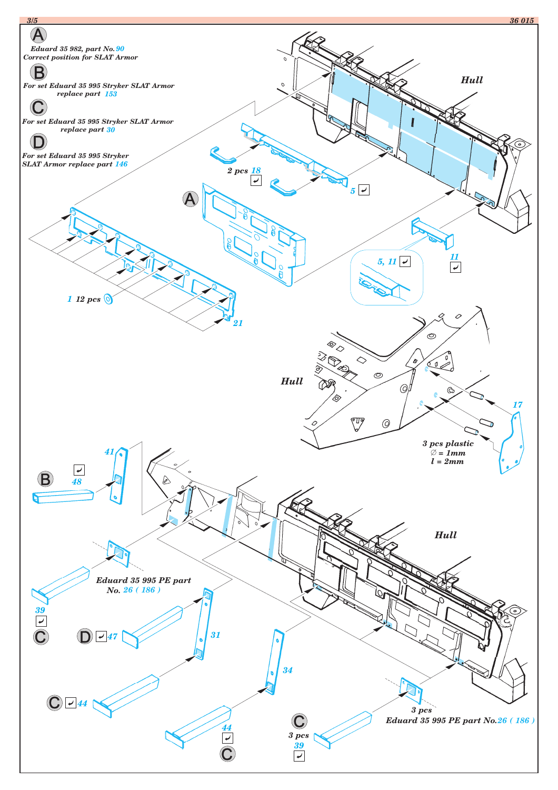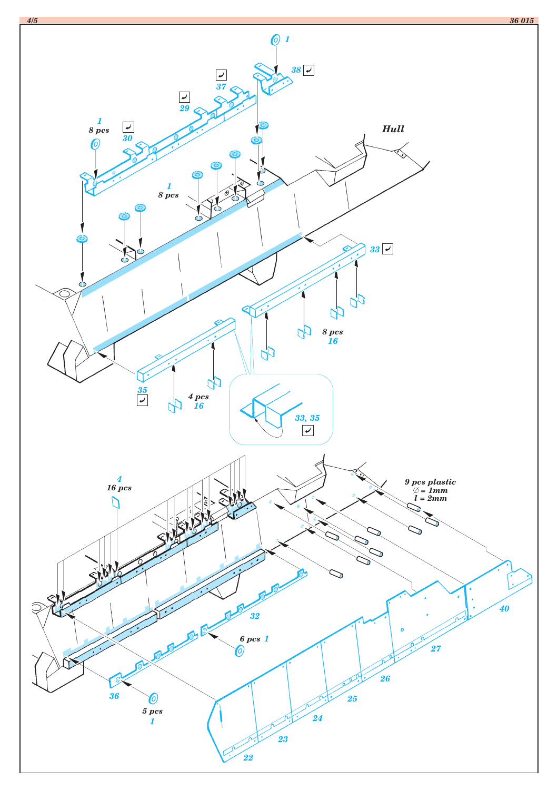